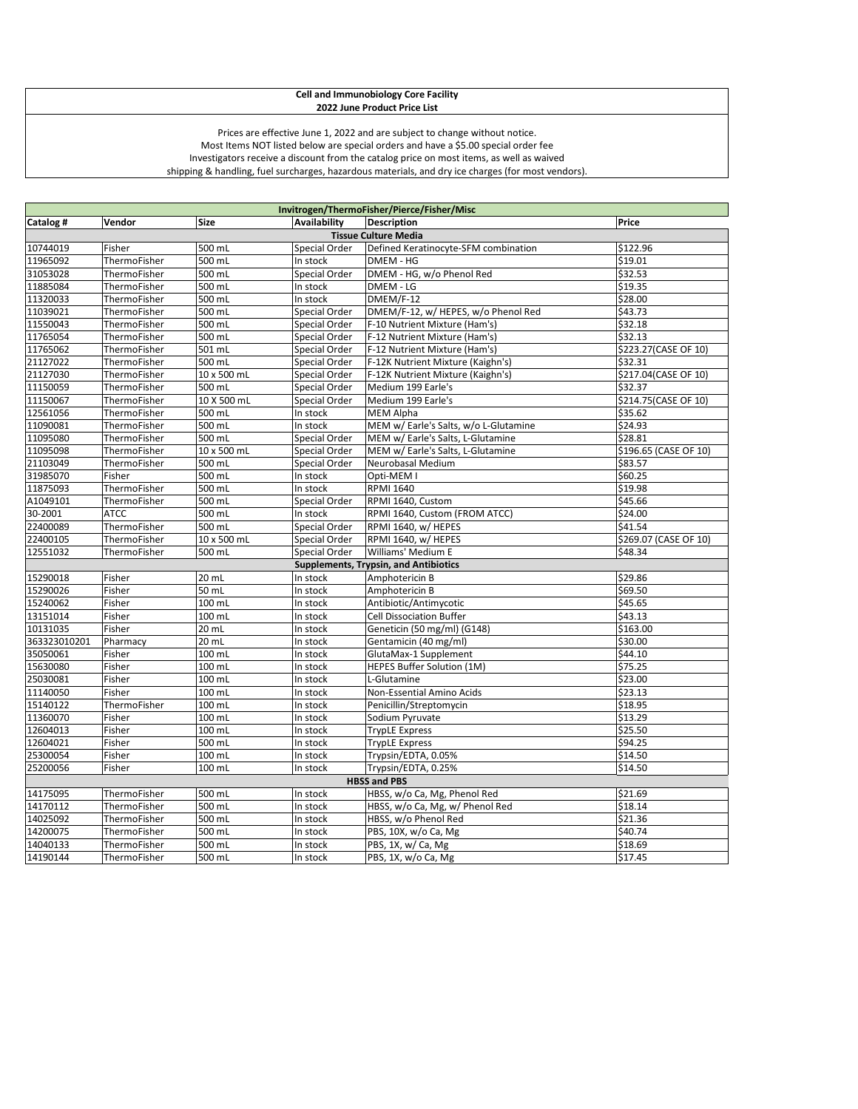## **Cell and Immunobiology Core Facility 2022 June Product Price List**

Prices are effective June 1, 2022 and are subject to change without notice. Most Items NOT listed below are special orders and have a \$5.00 special order fee Investigators receive a discount from the catalog price on most items, as well as waived shipping & handling, fuel surcharges, hazardous materials, and dry ice charges (for most vendors).

|              | Invitrogen/ThermoFisher/Pierce/Fisher/Misc |             |                     |                                              |                       |  |  |
|--------------|--------------------------------------------|-------------|---------------------|----------------------------------------------|-----------------------|--|--|
| Catalog#     | Vendor                                     | <b>Size</b> | <b>Availability</b> | <b>Description</b>                           | Price                 |  |  |
|              |                                            |             |                     | <b>Tissue Culture Media</b>                  |                       |  |  |
| 10744019     | Fisher                                     | 500 mL      | Special Order       | Defined Keratinocyte-SFM combination         | \$122.96              |  |  |
| 11965092     | ThermoFisher                               | 500 mL      | In stock            | DMEM - HG                                    | \$19.01               |  |  |
| 31053028     | ThermoFisher                               | 500 mL      | Special Order       | DMEM - HG, w/o Phenol Red                    | \$32.53               |  |  |
| 11885084     | ThermoFisher                               | 500 mL      | In stock            | DMEM - LG                                    | \$19.35               |  |  |
| 11320033     | ThermoFisher                               | 500 mL      | In stock            | DMEM/F-12                                    | \$28.00               |  |  |
| 11039021     | ThermoFisher                               | 500 mL      | Special Order       | DMEM/F-12, w/ HEPES, w/o Phenol Red          | \$43.73               |  |  |
| 11550043     | ThermoFisher                               | 500 mL      | Special Order       | F-10 Nutrient Mixture (Ham's)                | \$32.18               |  |  |
| 11765054     | ThermoFisher                               | 500 mL      | Special Order       | F-12 Nutrient Mixture (Ham's)                | \$32.13               |  |  |
| 11765062     | ThermoFisher                               | 501 mL      | Special Order       | F-12 Nutrient Mixture (Ham's)                | \$223.27(CASE OF 10)  |  |  |
| 21127022     | ThermoFisher                               | 500 mL      | Special Order       | F-12K Nutrient Mixture (Kaighn's)            | \$32.31               |  |  |
| 21127030     | ThermoFisher                               | 10 x 500 mL | Special Order       | F-12K Nutrient Mixture (Kaighn's)            | \$217.04(CASE OF 10)  |  |  |
| 11150059     | ThermoFisher                               | 500 mL      | Special Order       | Medium 199 Earle's                           | \$32.37               |  |  |
| 11150067     | ThermoFisher                               | 10 X 500 mL | Special Order       | Medium 199 Earle's                           | \$214.75(CASE OF 10)  |  |  |
| 12561056     | ThermoFisher                               | 500 mL      | In stock            | <b>MEM Alpha</b>                             | \$35.62               |  |  |
| 11090081     | ThermoFisher                               | 500 mL      | In stock            | MEM w/ Earle's Salts, w/o L-Glutamine        | \$24.93               |  |  |
| 11095080     | ThermoFisher                               | 500 mL      | Special Order       | MEM w/ Earle's Salts, L-Glutamine            | 528.81                |  |  |
| 11095098     | ThermoFisher                               | 10 x 500 mL | Special Order       | MEM w/ Earle's Salts, L-Glutamine            | \$196.65 (CASE OF 10) |  |  |
| 21103049     | ThermoFisher                               | 500 mL      | Special Order       | Neurobasal Medium                            | \$83.57               |  |  |
| 31985070     | Fisher                                     | 500 mL      | In stock            | Opti-MEM I                                   | \$60.25               |  |  |
| 11875093     | ThermoFisher                               | 500 mL      | In stock            | <b>RPMI 1640</b>                             | \$19.98               |  |  |
| A1049101     | ThermoFisher                               | 500 mL      | Special Order       | RPMI 1640, Custom                            | \$45.66               |  |  |
| 30-2001      | ATCC                                       | 500 mL      | In stock            | RPMI 1640, Custom (FROM ATCC)                | \$24.00               |  |  |
| 22400089     | ThermoFisher                               | 500 mL      | Special Order       | RPMI 1640, w/ HEPES                          | \$41.54               |  |  |
| 22400105     | ThermoFisher                               | 10 x 500 mL | Special Order       | RPMI 1640, w/ HEPES                          | \$269.07 (CASE OF 10) |  |  |
| 12551032     | ThermoFisher                               | 500 mL      | Special Order       | Williams' Medium E                           | \$48.34               |  |  |
|              |                                            |             |                     | <b>Supplements, Trypsin, and Antibiotics</b> |                       |  |  |
| 15290018     | Fisher                                     | 20 mL       | In stock            | Amphotericin B                               | \$29.86               |  |  |
| 15290026     | Fisher                                     | 50 mL       | In stock            | Amphotericin B                               | \$69.50               |  |  |
| 15240062     | Fisher                                     | 100 mL      | In stock            | Antibiotic/Antimycotic                       | \$45.65               |  |  |
| 13151014     | Fisher                                     | 100 mL      | In stock            | <b>Cell Dissociation Buffer</b>              | \$43.13               |  |  |
| 10131035     | Fisher                                     | 20 mL       | In stock            | Geneticin (50 mg/ml) (G148)                  | \$163.00              |  |  |
| 363323010201 | Pharmacy                                   | 20 mL       | In stock            | Gentamicin (40 mg/ml)                        | \$30.00               |  |  |
| 35050061     | Fisher                                     | 100 mL      | In stock            | GlutaMax-1 Supplement                        | \$44.10               |  |  |
| 15630080     | Fisher                                     | 100 mL      | In stock            | HEPES Buffer Solution (1M)                   | \$75.25               |  |  |
| 25030081     | Fisher                                     | 100 mL      | In stock            | L-Glutamine                                  | \$23.00               |  |  |
| 11140050     | Fisher                                     | 100 mL      | In stock            | Non-Essential Amino Acids                    | \$23.13               |  |  |
| 15140122     | ThermoFisher                               | 100 mL      | In stock            | Penicillin/Streptomycin                      | \$18.95               |  |  |
| 11360070     | Fisher                                     | 100 mL      | In stock            | Sodium Pyruvate                              | \$13.29               |  |  |
| 12604013     | Fisher                                     | 100 mL      | In stock            | <b>TrypLE Express</b>                        | \$25.50               |  |  |
| 12604021     | Fisher                                     | 500 mL      | In stock            | <b>TrypLE Express</b>                        | \$94.25               |  |  |
| 25300054     | Fisher                                     | 100 mL      | In stock            | Trypsin/EDTA, 0.05%                          | \$14.50               |  |  |
| 25200056     | Fisher                                     | 100 mL      | In stock            | Trypsin/EDTA, 0.25%                          | \$14.50               |  |  |
|              |                                            |             |                     | <b>HBSS and PBS</b>                          |                       |  |  |
| 14175095     | ThermoFisher                               | 500 mL      | In stock            | HBSS, w/o Ca, Mg, Phenol Red                 | \$21.69               |  |  |
| 14170112     | ThermoFisher                               | 500 mL      | In stock            | HBSS, w/o Ca, Mg, w/ Phenol Red              | \$18.14               |  |  |
| 14025092     | ThermoFisher                               | 500 mL      | In stock            | HBSS, w/o Phenol Red                         | \$21.36               |  |  |
| 14200075     | ThermoFisher                               | 500 mL      | In stock            | PBS, 10X, w/o Ca, Mg                         | \$40.74               |  |  |
| 14040133     | ThermoFisher                               | 500 mL      | In stock            | PBS, 1X, w/ Ca, Mg                           | \$18.69               |  |  |
| 14190144     | ThermoFisher                               | 500 mL      | In stock            | PBS, 1X, w/o Ca, Mg                          | \$17.45               |  |  |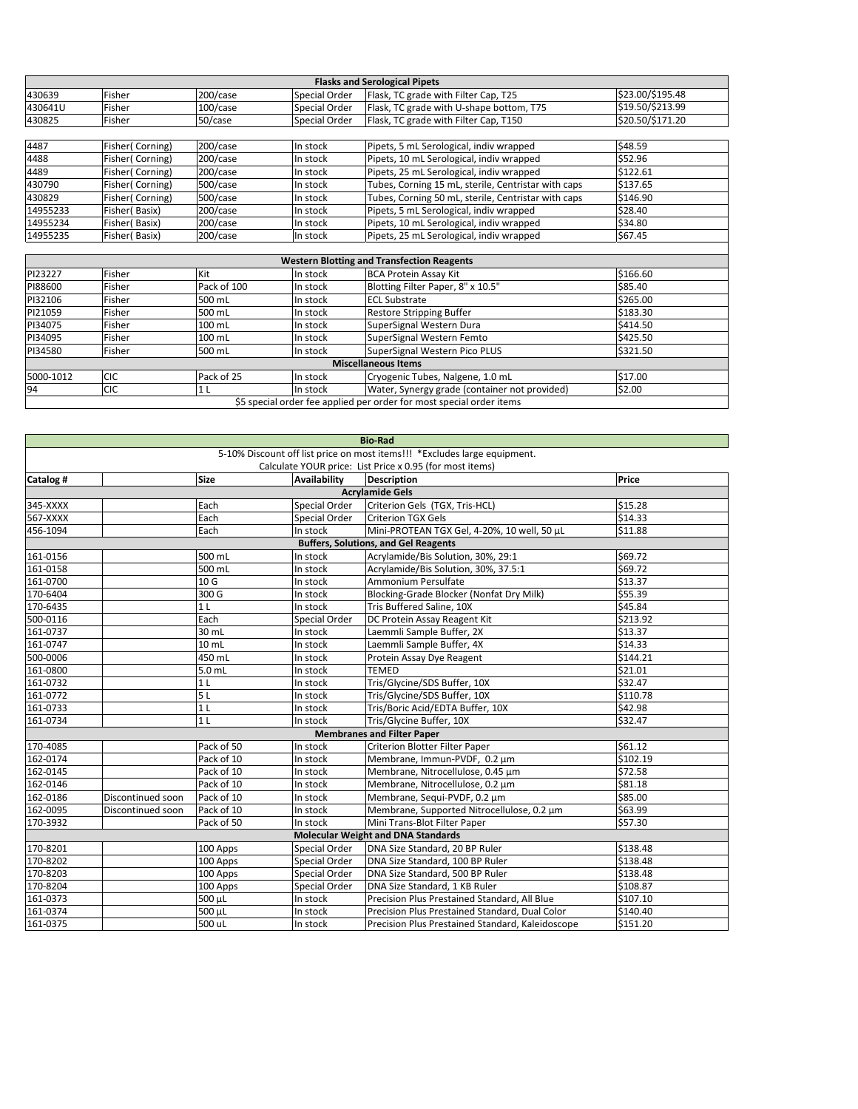| <b>Flasks and Serological Pipets</b> |                 |             |               |                                                     |                  |  |  |  |
|--------------------------------------|-----------------|-------------|---------------|-----------------------------------------------------|------------------|--|--|--|
| 430639                               | Fisher          | 200/case    | Special Order | Flask, TC grade with Filter Cap, T25                | \$23.00/\$195.48 |  |  |  |
| 430641U                              | Fisher          | $100/c$ ase | Special Order | Flask, TC grade with U-shape bottom, T75            | \$19.50/\$213.99 |  |  |  |
| 430825                               | Fisher          | 50/case     | Special Order | Flask, TC grade with Filter Cap, T150               | \$20.50/\$171.20 |  |  |  |
|                                      |                 |             |               |                                                     |                  |  |  |  |
| 4487                                 | Fisher(Corning) | 200/case    | In stock      | Pipets, 5 mL Serological, indiv wrapped             | \$48.59          |  |  |  |
| 4488                                 | Fisher(Corning) | 200/case    | In stock      | Pipets, 10 mL Serological, indiv wrapped            | \$52.96          |  |  |  |
| 4489                                 | Fisher(Corning) | 200/case    | In stock      | Pipets, 25 mL Serological, indiv wrapped            | \$122.61         |  |  |  |
| 430790                               | Fisher(Corning) | 500/case    | In stock      | Tubes, Corning 15 mL, sterile, Centristar with caps | \$137.65         |  |  |  |
| 430829                               | Fisher(Corning) | 500/case    | In stock      | Tubes, Corning 50 mL, sterile, Centristar with caps | \$146.90         |  |  |  |
| 14955233                             | Fisher(Basix)   | 200/case    | In stock      | Pipets, 5 mL Serological, indiv wrapped             | \$28.40          |  |  |  |
| 14955234                             | Fisher(Basix)   | 200/case    | In stock      | Pipets, 10 mL Serological, indiv wrapped            | \$34.80          |  |  |  |
| 14955235                             | Fisher(Basix)   | 200/case    | In stock      | Pipets, 25 mL Serological, indiv wrapped            | \$67.45          |  |  |  |

| <b>Western Blotting and Transfection Reagents</b> |                                                                      |             |          |                                               |          |  |
|---------------------------------------------------|----------------------------------------------------------------------|-------------|----------|-----------------------------------------------|----------|--|
| PI23227                                           | Fisher                                                               | Kit         | In stock | <b>BCA Protein Assay Kit</b>                  | \$166.60 |  |
| PI88600                                           | Fisher                                                               | Pack of 100 | In stock | Blotting Filter Paper, 8" x 10.5"             | \$85.40  |  |
| PI32106                                           | Fisher                                                               | 500 mL      | In stock | <b>ECL Substrate</b>                          | \$265.00 |  |
| PI21059                                           | Fisher                                                               | 500 mL      | In stock | Restore Stripping Buffer                      | \$183.30 |  |
| PI34075                                           | Fisher                                                               | 100 mL      | In stock | SuperSignal Western Dura                      | \$414.50 |  |
| PI34095                                           | Fisher                                                               | 100 mL      | In stock | SuperSignal Western Femto                     | \$425.50 |  |
| PI34580                                           | Fisher                                                               | 500 mL      | In stock | SuperSignal Western Pico PLUS                 | \$321.50 |  |
|                                                   | <b>Miscellaneous Items</b>                                           |             |          |                                               |          |  |
| 5000-1012                                         | <b>CIC</b>                                                           | Pack of 25  | In stock | Cryogenic Tubes, Nalgene, 1.0 mL              | \$17.00  |  |
| 94                                                | <b>CIC</b>                                                           |             | In stock | Water, Synergy grade (container not provided) | \$2.00   |  |
|                                                   | \$5 special order fee applied per order for most special order items |             |          |                                               |          |  |

| <b>Bio-Rad</b>                                           |                   |                 |                     |                                                                           |          |  |  |
|----------------------------------------------------------|-------------------|-----------------|---------------------|---------------------------------------------------------------------------|----------|--|--|
|                                                          |                   |                 |                     | 5-10% Discount off list price on most items!!! *Excludes large equipment. |          |  |  |
| Calculate YOUR price: List Price x 0.95 (for most items) |                   |                 |                     |                                                                           |          |  |  |
| Catalog #                                                |                   | <b>Size</b>     | <b>Availability</b> | <b>Description</b>                                                        | Price    |  |  |
|                                                          |                   |                 |                     | <b>Acrylamide Gels</b>                                                    |          |  |  |
| 345-XXXX                                                 |                   | Each            | Special Order       | Criterion Gels (TGX, Tris-HCL)                                            | \$15.28  |  |  |
| 567-XXXX                                                 |                   | Each            | Special Order       | <b>Criterion TGX Gels</b>                                                 | \$14.33  |  |  |
| 456-1094                                                 |                   | Each            | In stock            | Mini-PROTEAN TGX Gel, 4-20%, 10 well, 50 µL                               | \$11.88  |  |  |
|                                                          |                   |                 |                     | <b>Buffers, Solutions, and Gel Reagents</b>                               |          |  |  |
| 161-0156                                                 |                   | 500 mL          | In stock            | Acrylamide/Bis Solution, 30%, 29:1                                        | \$69.72  |  |  |
| 161-0158                                                 |                   | 500 mL          | In stock            | Acrylamide/Bis Solution, 30%, 37.5:1                                      | \$69.72  |  |  |
| 161-0700                                                 |                   | 10 <sub>G</sub> | In stock            | Ammonium Persulfate                                                       | \$13.37  |  |  |
| 170-6404                                                 |                   | 300 G           | In stock            | Blocking-Grade Blocker (Nonfat Dry Milk)                                  | \$55.39  |  |  |
| 170-6435                                                 |                   | 1 <sub>L</sub>  | In stock            | Tris Buffered Saline, 10X                                                 | \$45.84  |  |  |
| 500-0116                                                 |                   | Each            | Special Order       | DC Protein Assay Reagent Kit                                              | \$213.92 |  |  |
| 161-0737                                                 |                   | 30 mL           | In stock            | Laemmli Sample Buffer, 2X                                                 | \$13.37  |  |  |
| 161-0747                                                 |                   | 10 mL           | In stock            | Laemmli Sample Buffer, 4X                                                 | \$14.33  |  |  |
| 500-0006                                                 |                   | 450 mL          | In stock            | Protein Assay Dye Reagent                                                 | \$144.21 |  |  |
| 161-0800                                                 |                   | 5.0 mL          | In stock            | <b>TEMED</b>                                                              | \$21.01  |  |  |
| 161-0732                                                 |                   | 1 <sub>L</sub>  | In stock            | Tris/Glycine/SDS Buffer, 10X                                              | \$32.47  |  |  |
| 161-0772                                                 |                   | 5L              | In stock            | Tris/Glycine/SDS Buffer, 10X                                              | \$110.78 |  |  |
| 161-0733                                                 |                   | 1 <sub>L</sub>  | In stock            | Tris/Boric Acid/EDTA Buffer, 10X                                          | \$42.98  |  |  |
| 161-0734                                                 |                   | 1 <sub>L</sub>  | In stock            | Tris/Glycine Buffer, 10X                                                  | \$32.47  |  |  |
|                                                          |                   |                 |                     | <b>Membranes and Filter Paper</b>                                         |          |  |  |
| 170-4085                                                 |                   | Pack of 50      | In stock            | Criterion Blotter Filter Paper                                            | \$61.12  |  |  |
| 162-0174                                                 |                   | Pack of 10      | In stock            | Membrane, Immun-PVDF, 0.2 µm                                              | \$102.19 |  |  |
| 162-0145                                                 |                   | Pack of 10      | In stock            | Membrane, Nitrocellulose, 0.45 µm                                         | \$72.58  |  |  |
| 162-0146                                                 |                   | Pack of 10      | In stock            | Membrane, Nitrocellulose, 0.2 µm                                          | \$81.18  |  |  |
| 162-0186                                                 | Discontinued soon | Pack of 10      | In stock            | Membrane, Sequi-PVDF, 0.2 µm                                              | \$85.00  |  |  |
| 162-0095                                                 | Discontinued soon | Pack of 10      | In stock            | Membrane, Supported Nitrocellulose, 0.2 µm                                | \$63.99  |  |  |
| 170-3932                                                 |                   | Pack of 50      | In stock            | Mini Trans-Blot Filter Paper                                              | \$57.30  |  |  |
|                                                          |                   |                 |                     | <b>Molecular Weight and DNA Standards</b>                                 |          |  |  |
| 170-8201                                                 |                   | 100 Apps        | Special Order       | DNA Size Standard, 20 BP Ruler                                            | \$138.48 |  |  |
| 170-8202                                                 |                   | 100 Apps        | Special Order       | DNA Size Standard, 100 BP Ruler                                           | \$138.48 |  |  |
| 170-8203                                                 |                   | 100 Apps        | Special Order       | DNA Size Standard, 500 BP Ruler                                           | \$138.48 |  |  |
| 170-8204                                                 |                   | 100 Apps        | Special Order       | DNA Size Standard, 1 KB Ruler                                             | \$108.87 |  |  |
| 161-0373                                                 |                   | 500 µL          | In stock            | Precision Plus Prestained Standard, All Blue                              | \$107.10 |  |  |
| 161-0374                                                 |                   | 500 µL          | In stock            | Precision Plus Prestained Standard, Dual Color                            | \$140.40 |  |  |
| 161-0375                                                 |                   | 500 uL          | In stock            | Precision Plus Prestained Standard, Kaleidoscope                          | \$151.20 |  |  |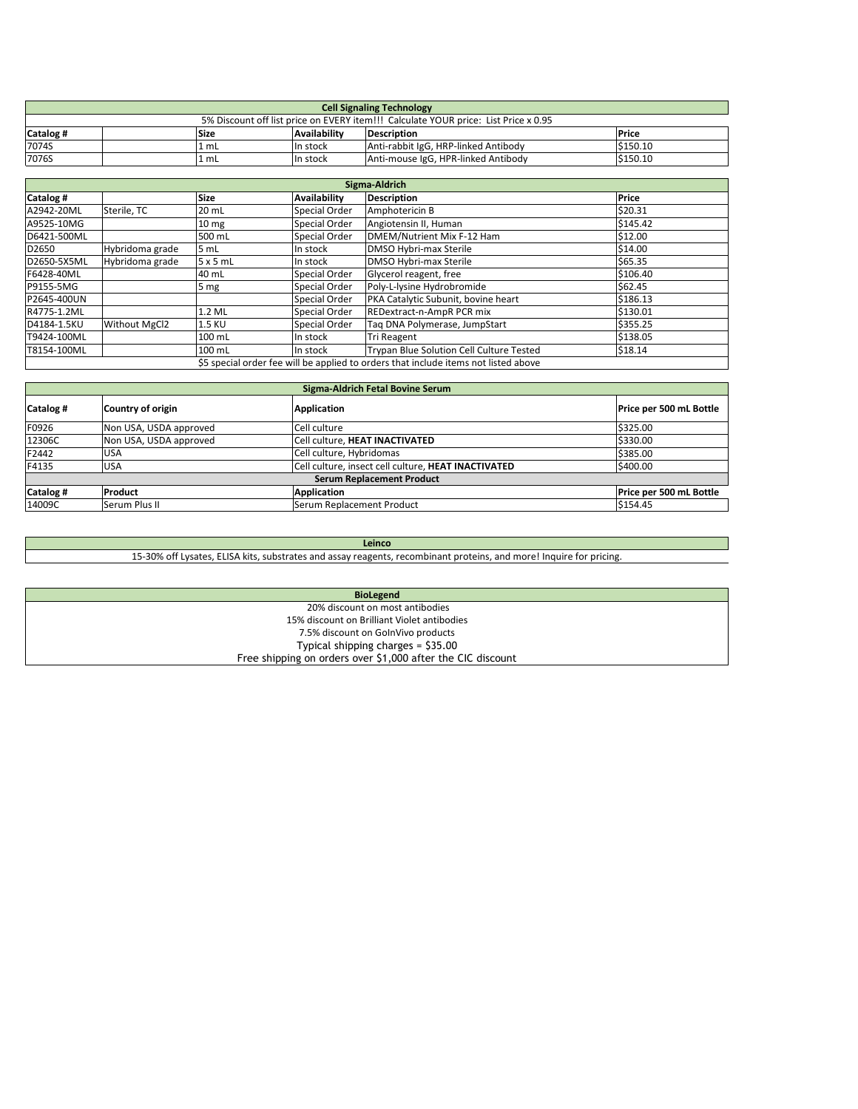| <b>Cell Signaling Technology</b>                                                    |                                                     |      |          |                                      |          |  |
|-------------------------------------------------------------------------------------|-----------------------------------------------------|------|----------|--------------------------------------|----------|--|
| 5% Discount off list price on EVERY item!!! Calculate YOUR price: List Price x 0.95 |                                                     |      |          |                                      |          |  |
| Catalog #                                                                           | Availability<br>Price<br>Size<br><b>Description</b> |      |          |                                      |          |  |
| 7074S                                                                               |                                                     | 1 mL | In stock | Anti-rabbit IgG, HRP-linked Antibody | \$150.10 |  |
| 7076S                                                                               |                                                     | 1 mL | In stock | Anti-mouse IgG, HPR-linked Antibody  | \$150.10 |  |

| Sigma-Aldrich                                                                         |                      |                  |               |                                                                                     |          |  |  |
|---------------------------------------------------------------------------------------|----------------------|------------------|---------------|-------------------------------------------------------------------------------------|----------|--|--|
| Catalog #<br><b>Size</b><br><b>Description</b><br><b>Price</b><br><b>Availability</b> |                      |                  |               |                                                                                     |          |  |  |
| A2942-20ML                                                                            | Sterile, TC          | 20 mL            | Special Order | Amphotericin B                                                                      | \$20.31  |  |  |
| A9525-10MG                                                                            |                      | 10 <sub>mg</sub> | Special Order | Angiotensin II, Human                                                               | \$145.42 |  |  |
| D6421-500ML                                                                           |                      | 500 mL           | Special Order | DMEM/Nutrient Mix F-12 Ham                                                          | \$12.00  |  |  |
| D2650                                                                                 | Hybridoma grade      | 5 mL             | In stock      | DMSO Hybri-max Sterile                                                              | \$14.00  |  |  |
| D2650-5X5ML                                                                           | Hybridoma grade      | 5x5mL            | In stock      | <b>DMSO Hybri-max Sterile</b>                                                       | \$65.35  |  |  |
| F6428-40ML                                                                            |                      | 40 mL            | Special Order | Glycerol reagent, free                                                              | \$106.40 |  |  |
| P9155-5MG                                                                             |                      | 5 <sub>mg</sub>  | Special Order | Poly-L-lysine Hydrobromide                                                          | \$62.45  |  |  |
| P2645-400UN                                                                           |                      |                  | Special Order | PKA Catalytic Subunit, bovine heart                                                 | \$186.13 |  |  |
| R4775-1.2ML                                                                           |                      | 1.2 ML           | Special Order | REDextract-n-AmpR PCR mix                                                           | \$130.01 |  |  |
| D4184-1.5KU                                                                           | <b>Without MgCl2</b> | 1.5 KU           | Special Order | Tag DNA Polymerase, JumpStart                                                       | \$355.25 |  |  |
| T9424-100ML                                                                           |                      | 100 mL           | In stock      | Tri Reagent                                                                         | \$138.05 |  |  |
| T8154-100ML                                                                           |                      | 100 mL           | In stock      | <b>Trypan Blue Solution Cell Culture Tested</b>                                     | \$18.14  |  |  |
|                                                                                       |                      |                  |               | \$5 special order fee will be applied to orders that include items not listed above |          |  |  |

| Sigma-Aldrich Fetal Bovine Serum |                        |                                                     |                         |  |  |
|----------------------------------|------------------------|-----------------------------------------------------|-------------------------|--|--|
| Country of origin<br>Catalog #   |                        | <b>Application</b>                                  | Price per 500 mL Bottle |  |  |
| F0926                            | Non USA, USDA approved | Cell culture                                        | \$325.00                |  |  |
| 12306C                           | Non USA, USDA approved | Cell culture, HEAT INACTIVATED                      | \$330.00                |  |  |
| F2442                            | <b>USA</b>             | Cell culture, Hybridomas                            | \$385.00                |  |  |
| F4135                            | <b>USA</b>             | Cell culture, insect cell culture, HEAT INACTIVATED | \$400.00                |  |  |
| <b>Serum Replacement Product</b> |                        |                                                     |                         |  |  |
| Catalog #                        | Product                | Application                                         | Price per 500 mL Bottle |  |  |
| 14009C                           | Serum Plus II          | Serum Replacement Product                           | \$154.45                |  |  |

**Leinco** 15-30% off Lysates, ELISA kits, substrates and assay reagents, recombinant proteins, and more! Inquire for pricing.

| <b>BioLegend</b>                                            |  |
|-------------------------------------------------------------|--|
| 20% discount on most antibodies                             |  |
| 15% discount on Brilliant Violet antibodies                 |  |
| 7.5% discount on GolnVivo products                          |  |
| Typical shipping charges = \$35.00                          |  |
| Free shipping on orders over \$1,000 after the CIC discount |  |